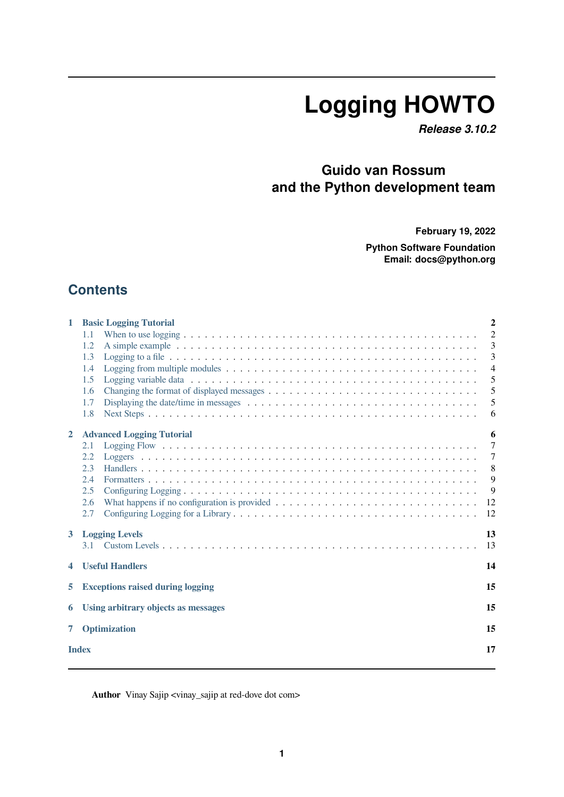# **Logging HOWTO**

*Release 3.10.2*

### **Guido van Rossum and the Python development team**

**February 19, 2022**

**Python Software Foundation Email: docs@python.org**

### **Contents**

| $\mathbf{1}$       | <b>Basic Logging Tutorial</b>                 | $\overline{2}$ |  |  |  |
|--------------------|-----------------------------------------------|----------------|--|--|--|
|                    | 1.1                                           | $\overline{2}$ |  |  |  |
|                    | 1.2                                           | 3              |  |  |  |
|                    | 1.3                                           | 3              |  |  |  |
|                    | 1.4                                           | $\overline{4}$ |  |  |  |
|                    | 1.5                                           | 5              |  |  |  |
|                    | 1.6                                           | 5              |  |  |  |
|                    | 1.7                                           | 5              |  |  |  |
|                    | 1.8                                           | 6              |  |  |  |
| $\overline{2}$     | <b>Advanced Logging Tutorial</b>              | 6              |  |  |  |
|                    | 2.1                                           | 7              |  |  |  |
|                    | 2.2                                           | $\tau$         |  |  |  |
|                    | 2.3                                           | 8              |  |  |  |
|                    | 2.4                                           | 9              |  |  |  |
|                    | 2.5                                           | 9              |  |  |  |
|                    | 2.6                                           | 12             |  |  |  |
|                    | 2.7                                           | 12             |  |  |  |
| 3                  | <b>Logging Levels</b><br>13                   |                |  |  |  |
|                    | 3.1                                           | 13             |  |  |  |
| 4                  | <b>Useful Handlers</b><br>14                  |                |  |  |  |
| 5                  | <b>Exceptions raised during logging</b><br>15 |                |  |  |  |
| 6                  | 15<br>Using arbitrary objects as messages     |                |  |  |  |
| 7                  | Optimization                                  |                |  |  |  |
|                    |                                               |                |  |  |  |
| <b>Index</b><br>17 |                                               |                |  |  |  |

Author Vinay Sajip <vinay\_sajip at red-dove dot com>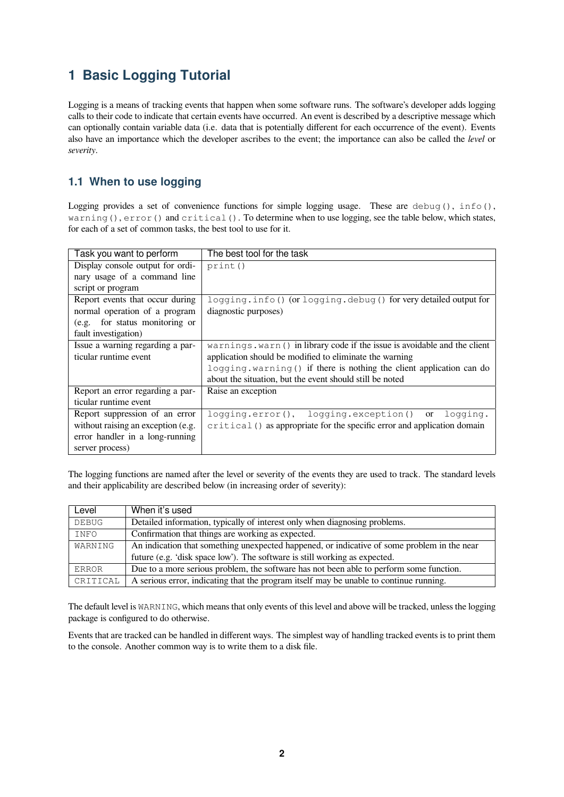### <span id="page-1-0"></span>**1 Basic Logging Tutorial**

Logging is a means of tracking events that happen when some software runs. The software's developer adds logging calls to their code to indicate that certain events have occurred. An event is described by a descriptive message which can optionally contain variable data (i.e. data that is potentially different for each occurrence of the event). Events also have an importance which the developer ascribes to the event; the importance can also be called the *level* or *severity*.

### <span id="page-1-1"></span>**1.1 When to use logging**

Logging provides a set of convenience functions for simple logging usage. These are debug(),  $info()$ , warning(), error() and critical(). To determine when to use logging, see the table below, which states, for each of a set of common tasks, the best tool to use for it.

| Task you want to perform           | The best tool for the task                                                |
|------------------------------------|---------------------------------------------------------------------------|
| Display console output for ordi-   | print()                                                                   |
| nary usage of a command line       |                                                                           |
| script or program                  |                                                                           |
| Report events that occur during    | logging.info() (or logging.debug() for very detailed output for           |
| normal operation of a program      | diagnostic purposes)                                                      |
| for status monitoring or<br>(e.g.  |                                                                           |
| fault investigation)               |                                                                           |
| Issue a warning regarding a par-   | warnings.warn () in library code if the issue is avoidable and the client |
| ticular runtime event              | application should be modified to eliminate the warning                   |
|                                    | logging.warning () if there is nothing the client application can do      |
|                                    | about the situation, but the event should still be noted                  |
| Report an error regarding a par-   | Raise an exception                                                        |
| ticular runtime event              |                                                                           |
| Report suppression of an error     | logging.error(), logging.exception() or<br>logging.                       |
| without raising an exception (e.g. | critical () as appropriate for the specific error and application domain  |
| error handler in a long-running    |                                                                           |
| server process)                    |                                                                           |

The logging functions are named after the level or severity of the events they are used to track. The standard levels and their applicability are described below (in increasing order of severity):

| Level                                                                                                  | When it's used                                                                          |  |
|--------------------------------------------------------------------------------------------------------|-----------------------------------------------------------------------------------------|--|
| DEBUG                                                                                                  | Detailed information, typically of interest only when diagnosing problems.              |  |
| INFO                                                                                                   | Confirmation that things are working as expected.                                       |  |
| An indication that something unexpected happened, or indicative of some problem in the near<br>WARNING |                                                                                         |  |
|                                                                                                        | future (e.g. 'disk space low'). The software is still working as expected.              |  |
| ERROR                                                                                                  | Due to a more serious problem, the software has not been able to perform some function. |  |
| CRITICAL                                                                                               | A serious error, indicating that the program itself may be unable to continue running.  |  |

The default level is WARNING, which means that only events of this level and above will be tracked, unless the logging package is configured to do otherwise.

Events that are tracked can be handled in different ways. The simplest way of handling tracked events is to print them to the console. Another common way is to write them to a disk file.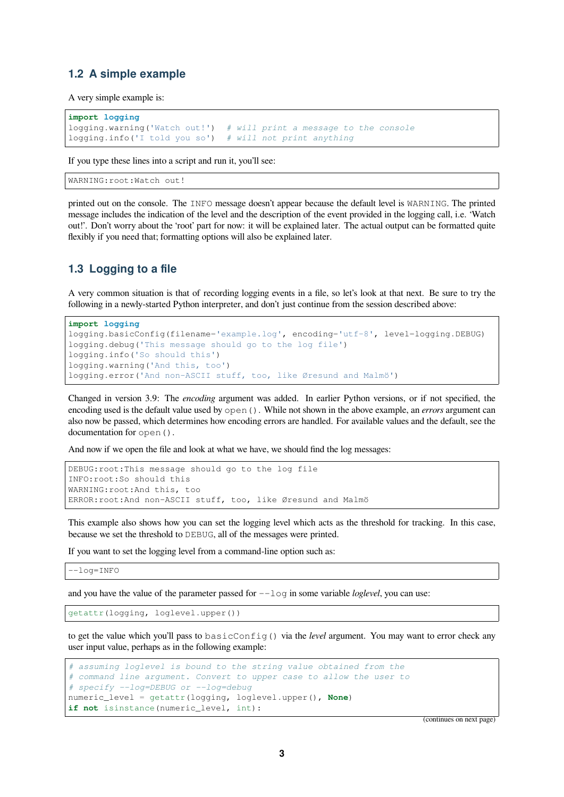#### <span id="page-2-0"></span>**1.2 A simple example**

A very simple example is:

```
import logging
logging.warning('Watch out!') # will print a message to the console
logging.info('I told you so') # will not print anything
```
If you type these lines into a script and run it, you'll see:

```
WARNING:root:Watch out!
```
printed out on the console. The INFO message doesn't appear because the default level is WARNING. The printed message includes the indication of the level and the description of the event provided in the logging call, i.e. 'Watch out!'. Don't worry about the 'root' part for now: it will be explained later. The actual output can be formatted quite flexibly if you need that; formatting options will also be explained later.

#### <span id="page-2-1"></span>**1.3 Logging to a file**

A very common situation is that of recording logging events in a file, so let's look at that next. Be sure to try the following in a newly-started Python interpreter, and don't just continue from the session described above:

```
import logging
logging.basicConfig(filename='example.log', encoding='utf-8', level=logging.DEBUG)
logging.debug('This message should go to the log file')
logging.info('So should this')
logging.warning('And this, too')
logging.error('And non-ASCII stuff, too, like Øresund and Malmö')
```
Changed in version 3.9: The *encoding* argument was added. In earlier Python versions, or if not specified, the encoding used is the default value used by open(). While not shown in the above example, an *errors* argument can also now be passed, which determines how encoding errors are handled. For available values and the default, see the documentation for open().

And now if we open the file and look at what we have, we should find the log messages:

```
DEBUG:root:This message should go to the log file
INFO:root:So should this
WARNING:root:And this, too
ERROR:root:And non-ASCII stuff, too, like Øresund and Malmö
```
This example also shows how you can set the logging level which acts as the threshold for tracking. In this case, because we set the threshold to DEBUG, all of the messages were printed.

If you want to set the logging level from a command-line option such as:

--log=INFO

and you have the value of the parameter passed for  $-\log n$  in some variable *loglevel*, you can use:

getattr(logging, loglevel.upper())

to get the value which you'll pass to basicConfig() via the *level* argument. You may want to error check any user input value, perhaps as in the following example:

```
# assuming loglevel is bound to the string value obtained from the
# command line argument. Convert to upper case to allow the user to
# specify --log=DEBUG or --log=debug
numeric_level = getattr(logging, loglevel.upper(), None)
if not isinstance(numeric_level, int):
```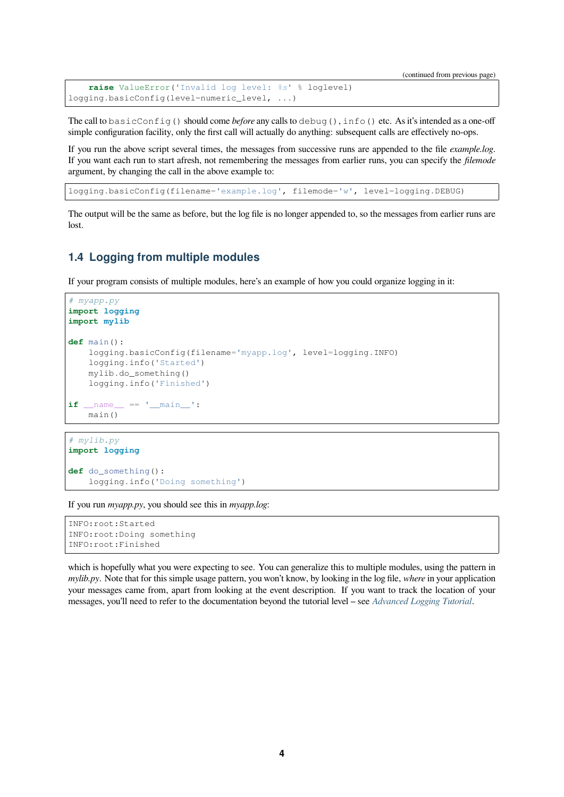```
raise ValueError('Invalid log level: %s' % loglevel)
logging.basicConfig(level=numeric_level, ...)
```
The call to basicConfig() should come *before* any calls to debug(), info() etc. As it's intended as a one-off simple configuration facility, only the first call will actually do anything: subsequent calls are effectively no-ops.

If you run the above script several times, the messages from successive runs are appended to the file *example.log*. If you want each run to start afresh, not remembering the messages from earlier runs, you can specify the *filemode* argument, by changing the call in the above example to:

logging.basicConfig(filename='example.log', filemode='w', level=logging.DEBUG)

The output will be the same as before, but the log file is no longer appended to, so the messages from earlier runs are lost.

#### **1.4 Logging from multiple modules**

If your program consists of multiple modules, here's an example of how you could organize logging in it:

```
# myapp.py
import logging
import mylib
def main():
    logging.basicConfig(filename='myapp.log', level=logging.INFO)
    logging.info('Started')
   mylib.do_something()
    logging.info('Finished')
if __name__ == '__main__':
   main()
```
#### *# mylib.py* **import logging**

**def** do\_something(): logging.info('Doing something')

If you run *myapp.py*, you should see this in *myapp.log*:

```
INFO:root:Started
INFO:root:Doing something
INFO:root:Finished
```
which is hopefully what you were expecting to see. You can generalize this to multiple modules, using the pattern in *mylib.py*. Note that for this simple usage pattern, you won't know, by looking in the log file, *where* in your application your messages came from, apart from looking at the event description. If you want to track the location of your messages, you'll need to refer to the documentation beyond the tutorial level – see *Advanced Logging Tutorial*.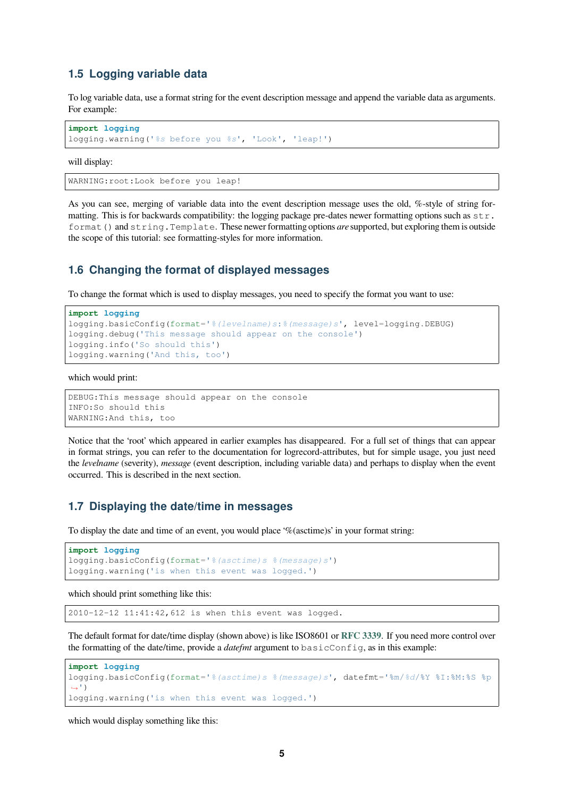#### **1.5 Logging variable data**

To log variable data, use a format string for the event description message and append the variable data as arguments. For example:

```
import logging
logging.warning('%s before you %s', 'Look', 'leap!')
```
will display:

```
WARNING:root:Look before you leap!
```
As you can see, merging of variable data into the event description message uses the old, %-style of string formatting. This is for backwards compatibility: the logging package pre-dates newer formatting options such as  $str.$ format() and string.Template. These newer formatting options *are* supported, but exploring them is outside the scope of this tutorial: see formatting-styles for more information.

#### **1.6 Changing the format of displayed messages**

To change the format which is used to display messages, you need to specify the format you want to use:

```
import logging
logging.basicConfig(format='%(levelname)s:%(message)s', level=logging.DEBUG)
logging.debug('This message should appear on the console')
logging.info('So should this')
logging.warning('And this, too')
```
#### which would print:

```
DEBUG:This message should appear on the console
INFO:So should this
WARNING:And this, too
```
Notice that the 'root' which appeared in earlier examples has disappeared. For a full set of things that can appear in format strings, you can refer to the documentation for logrecord-attributes, but for simple usage, you just need the *levelname* (severity), *message* (event description, including variable data) and perhaps to display when the event occurred. This is described in the next section.

#### **1.7 Displaying the date/time in messages**

To display the date and time of an event, you would place '%(asctime)s' in your format string:

```
import logging
logging.basicConfig(format='%(asctime)s %(message)s')
logging.warning('is when this event was logged.')
```
which should print something like this:

2010-12-12 11:41:42,612 is when this event was logged.

The default format for date/time display (shown above) is like ISO8601 or **RFC 3339**. If you need more control over the formatting of the date/time, provide a *datefmt* argument to basicConfig, as in this example:

```
import logging
logging.basicConfig(format='%(asctime)s %(message)s', datefmt='%m/%d/%Y %I:%M:%S %p
,→')
logging.warning('is when this event was logged.')
```
which would display something like this: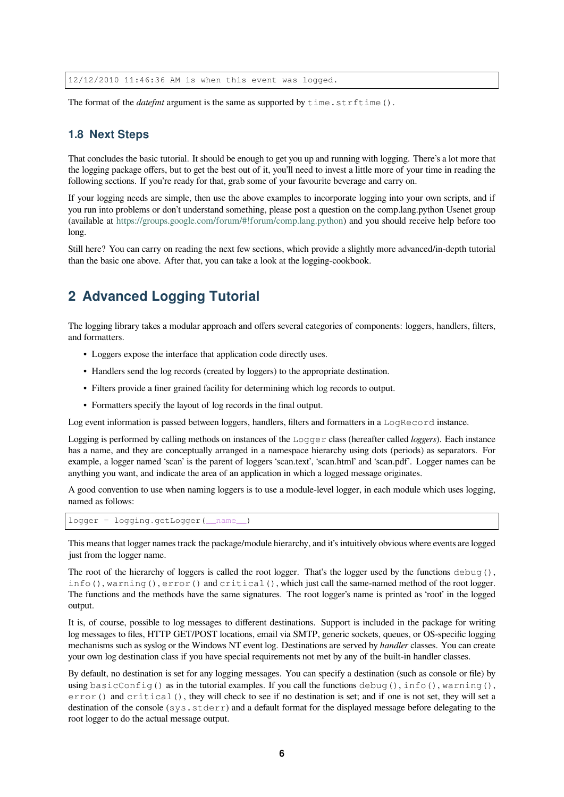The format of the *datefmt* argument is the same as supported by  $\tt time \cdot \text{striftime}()$ .

#### **1.8 Next Steps**

<span id="page-5-0"></span>That concludes the basic tutorial. It should be enough to get you up and running with logging. There's a lot more that the logging package offers, but to get the best out of it, you'll need to invest a little more of your time in reading the following sections. If you're ready for that, grab some of your favourite beverage and carry on.

If your logging needs are simple, then use the above examples to incorporate logging into your own scripts, and if you run into problems or don't understand something, please post a question on the comp.lang.python Usenet group (available at https://groups.google.com/forum/#!forum/comp.lang.python) and you should receive help before too long.

Still here? You can carry on reading the next few sections, which provide a slightly more advanced/in-depth tutorial than the basi[c one above. After that, you can take a look at the logging-coo](https://groups.google.com/forum/#!forum/comp.lang.python)kbook.

### **2 Advanced Logging Tutorial**

<span id="page-5-1"></span>The logging library takes a modular approach and offers several categories of components: loggers, handlers, filters, and formatters.

- Loggers expose the interface that application code directly uses.
- Handlers send the log records (created by loggers) to the appropriate destination.
- Filters provide a finer grained facility for determining which log records to output.
- Formatters specify the layout of log records in the final output.

Log event information is passed between loggers, handlers, filters and formatters in a LogRecord instance.

Logging is performed by calling methods on instances of the Logger class (hereafter called *loggers*). Each instance has a name, and they are conceptually arranged in a namespace hierarchy using dots (periods) as separators. For example, a logger named 'scan' is the parent of loggers 'scan.text', 'scan.html' and 'scan.pdf'. Logger names can be anything you want, and indicate the area of an application in which a logged message originates.

A good convention to use when naming loggers is to use a module-level logger, in each module which uses logging, named as follows:

```
logger = logging.getLogger(__name__)
```
This means that logger names track the package/module hierarchy, and it's intuitively obvious where events are logged just from the logger name.

The root of the hierarchy of loggers is called the root logger. That's the logger used by the functions debug(), info(), warning(), error() and critical(), which just call the same-named method of the root logger. The functions and the methods have the same signatures. The root logger's name is printed as 'root' in the logged output.

It is, of course, possible to log messages to different destinations. Support is included in the package for writing log messages to files, HTTP GET/POST locations, email via SMTP, generic sockets, queues, or OS-specific logging mechanisms such as syslog or the Windows NT event log. Destinations are served by *handler* classes. You can create your own log destination class if you have special requirements not met by any of the built-in handler classes.

By default, no destination is set for any logging messages. You can specify a destination (such as console or file) by using basicConfig() as in the tutorial examples. If you call the functions debug(), info(), warning(), error() and critical(), they will check to see if no destination is set; and if one is not set, they will set a destination of the console (sys.stderr) and a default format for the displayed message before delegating to the root logger to do the actual message output.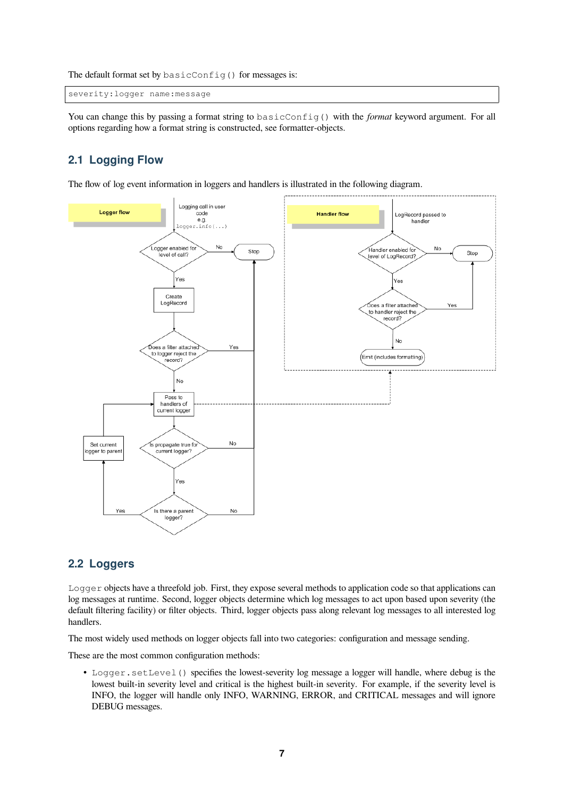The default format set by basicConfig() for messages is:

```
severity:logger name:message
```
You can change this by passing a format string to basicConfig() with the *format* keyword argument. For all options regarding how a format string is constructed, see formatter-objects.

### <span id="page-6-0"></span>**2.1 Logging Flow**

The flow of log event information in loggers and handlers is illustrated in the following diagram.



#### <span id="page-6-1"></span>**2.2 Loggers**

Logger objects have a threefold job. First, they expose several methods to application code so that applications can log messages at runtime. Second, logger objects determine which log messages to act upon based upon severity (the default filtering facility) or filter objects. Third, logger objects pass along relevant log messages to all interested log handlers.

The most widely used methods on logger objects fall into two categories: configuration and message sending.

These are the most common configuration methods:

• Logger.setLevel() specifies the lowest-severity log message a logger will handle, where debug is the lowest built-in severity level and critical is the highest built-in severity. For example, if the severity level is INFO, the logger will handle only INFO, WARNING, ERROR, and CRITICAL messages and will ignore DEBUG messages.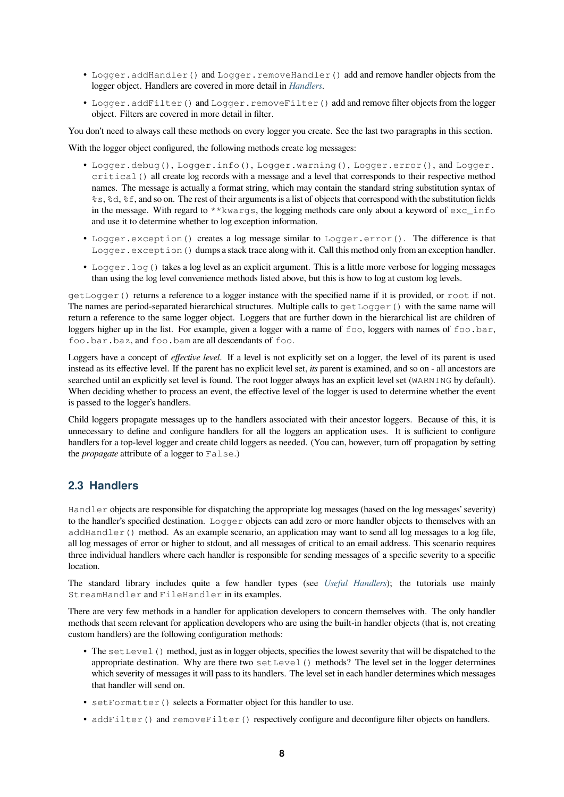- Logger.addHandler() and Logger.removeHandler() add and remove handler objects from the logger object. Handlers are covered in more detail in *Handlers*.
- Logger.addFilter() and Logger.removeFilter() add and remove filter objects from the logger object. Filters are covered in more detail in filter.

You don't need to always call these methods on every logge[r you crea](#page-7-0)te. See the last two paragraphs in this section.

With the logger object configured, the following methods create log messages:

- Logger.debug(), Logger.info(), Logger.warning(), Logger.error(), and Logger. critical() all create log records with a message and a level that corresponds to their respective method names. The message is actually a format string, which may contain the standard string substitution syntax of %s, %d, %f, and so on. The rest of their arguments is a list of objects that correspond with the substitution fields in the message. With regard to \*\*kwargs, the logging methods care only about a keyword of exc\_info and use it to determine whether to log exception information.
- Logger.exception() creates a log message similar to Logger.error(). The difference is that Logger.exception() dumps a stack trace along with it. Call this method only from an exception handler.
- Logger.log() takes a log level as an explicit argument. This is a little more verbose for logging messages than using the log level convenience methods listed above, but this is how to log at custom log levels.

getLogger() returns a reference to a logger instance with the specified name if it is provided, or root if not. The names are period-separated hierarchical structures. Multiple calls to  $qetLogger()$  with the same name will return a reference to the same logger object. Loggers that are further down in the hierarchical list are children of loggers higher up in the list. For example, given a logger with a name of foo, loggers with names of foo.bar, foo.bar.baz, and foo.bam are all descendants of foo.

Loggers have a concept of *effective level*. If a level is not explicitly set on a logger, the level of its parent is used instead as its effective level. If the parent has no explicit level set, *its* parent is examined, and so on - all ancestors are searched until an explicitly set level is found. The root logger always has an explicit level set (WARNING by default). When deciding whether to process an event, the effective level of the logger is used to determine whether the event is passed to the logger's handlers.

Child loggers propagate messages up to the handlers associated with their ancestor loggers. Because of this, it is unnecessary to define and configure handlers for all the loggers an application uses. It is sufficient to configure handlers for a top-level logger and create child loggers as needed. (You can, however, turn off propagation by setting the *propagate* attribute of a logger to False.)

#### **2.3 Handlers**

<span id="page-7-0"></span>Handler objects are responsible for dispatching the appropriate log messages (based on the log messages' severity) to the handler's specified destination. Logger objects can add zero or more handler objects to themselves with an addHandler() method. As an example scenario, an application may want to send all log messages to a log file, all log messages of error or higher to stdout, and all messages of critical to an email address. This scenario requires three individual handlers where each handler is responsible for sending messages of a specific severity to a specific location.

The standard library includes quite a few handler types (see *Useful Handlers*); the tutorials use mainly StreamHandler and FileHandler in its examples.

There are very few methods in a handler for application developers to concern themselves with. The only handler methods that seem relevant for application developers who are usingt[he built-in handle](#page-13-0)r objects (that is, not creating custom handlers) are the following configuration methods:

- The setLevel () method, just as in logger objects, specifies the lowest severity that will be dispatched to the appropriate destination. Why are there two  $setLevel()$  methods? The level set in the logger determines which severity of messages it will pass to its handlers. The level set in each handler determines which messages that handler will send on.
- setFormatter () selects a Formatter object for this handler to use.
- addFilter() and removeFilter() respectively configure and deconfigure filter objects on handlers.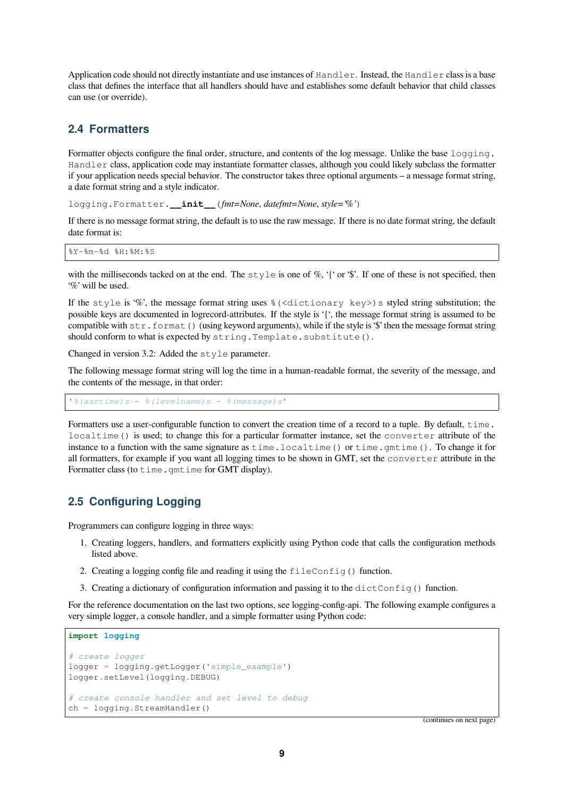Application code should not directly instantiate and use instances of Handler. Instead, the Handler class is a base class that defines the interface that all handlers should have and establishes some default behavior that child classes can use (or override).

#### <span id="page-8-0"></span>**2.4 Formatters**

Formatter objects configure the final order, structure, and contents of the log message. Unlike the base logging. Handler class, application code may instantiate formatter classes, although you could likely subclass the formatter if your application needs special behavior. The constructor takes three optional arguments – a message format string, a date format string and a style indicator.

logging.Formatter.**\_\_init\_\_**(*fmt=None*, *datefmt=None*, *style='%'*)

If there is no message format string, the default is to use the raw message. If there is no date format string, the default date format is:

%Y-%m-%d %H:%M:%S

with the milliseconds tacked on at the end. The  $style \pm \nu \pm e$  is one of %, '{' or '\$'. If one of these is not specified, then '%' will be used.

If the style is '%', the message format string uses  $\frac{1}{2}$  (<dictionary key>) s styled string substitution; the possible keys are documented in logrecord-attributes. If the style is '{', the message format string is assumed to be compatible with str.format() (using keyword arguments), while if the style is '\$' then the message format string should conform to what is expected by string. Template. substitute().

Changed in version 3.2: Added the style parameter.

The following message format string will log the time in a human-readable format, the severity of the message, and the contents of the message, in that order:

'*%(asctime)s* - *%(levelname)s* - *%(message)s*'

Formatters use a user-configurable function to convert the creation time of a record to a tuple. By default,  $\tan$  time. localtime() is used; to change this for a particular formatter instance, set the converter attribute of the instance to a function with the same signature as time.localtime() or time.gmtime(). To change it for all formatters, for example if you want all logging times to be shown in GMT, set the converter attribute in the Formatter class (to time.gmtime for GMT display).

#### <span id="page-8-1"></span>**2.5 Configuring Logging**

Programmers can configure logging in three ways:

- 1. Creating loggers, handlers, and formatters explicitly using Python code that calls the configuration methods listed above.
- 2. Creating a logging config file and reading it using the fileConfig() function.
- 3. Creating a dictionary of configuration information and passing it to the dictConfig() function.

For the reference documentation on the last two options, see logging-config-api. The following example configures a very simple logger, a console handler, and a simple formatter using Python code:

```
import logging
# create logger
logger = logging.getLogger('simple_example')
logger.setLevel(logging.DEBUG)
# create console handler and set level to debug
ch = logging.StreamHandler()
```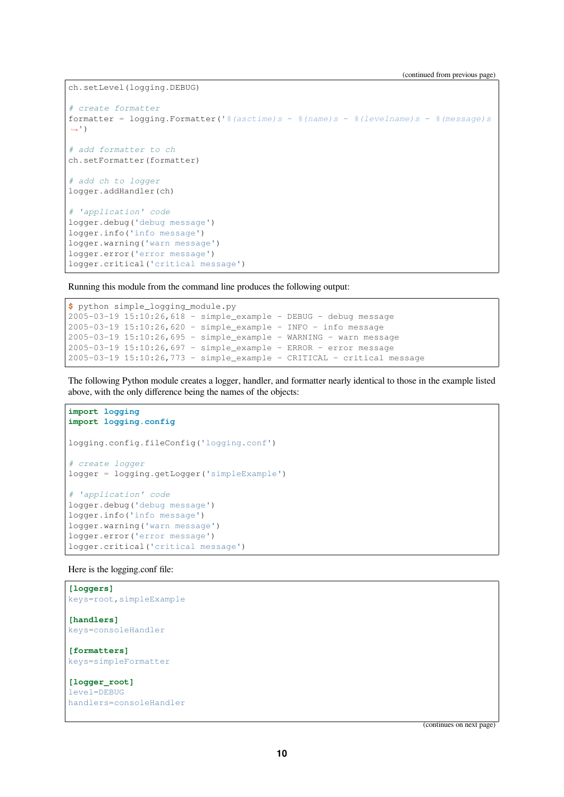ch.setLevel(logging.DEBUG)

```
# create formatter
formatter = logging.Formatter('%(asctime)s - %(name)s - %(levelname)s - %(message)s
,→')
# add formatter to ch
ch.setFormatter(formatter)
# add ch to logger
logger.addHandler(ch)
# 'application' code
logger.debug('debug message')
logger.info('info message')
logger.warning('warn message')
logger.error('error message')
logger.critical('critical message')
```
Running this module from the command line produces the following output:

```
$ python simple_logging_module.py
2005-03-19 15:10:26,618 - simple_example - DEBUG - debug message
2005-03-19 15:10:26,620 - simple_example - INFO - info message
2005-03-19 15:10:26,695 - simple_example - WARNING - warn message
2005-03-19 15:10:26,697 - simple_example - ERROR - error message
2005-03-19 15:10:26,773 - simple_example - CRITICAL - critical message
```
The following Python module creates a logger, handler, and formatter nearly identical to those in the example listed above, with the only difference being the names of the objects:

```
import logging
import logging.config
logging.config.fileConfig('logging.conf')
# create logger
logger = logging.getLogger('simpleExample')
# 'application' code
logger.debug('debug message')
logger.info('info message')
logger.warning('warn message')
logger.error('error message')
logger.critical('critical message')
```
Here is the logging.conf file:

```
[loggers]
keys=root,simpleExample
[handlers]
keys=consoleHandler
[formatters]
keys=simpleFormatter
[logger_root]
level=DEBUG
handlers=consoleHandler
```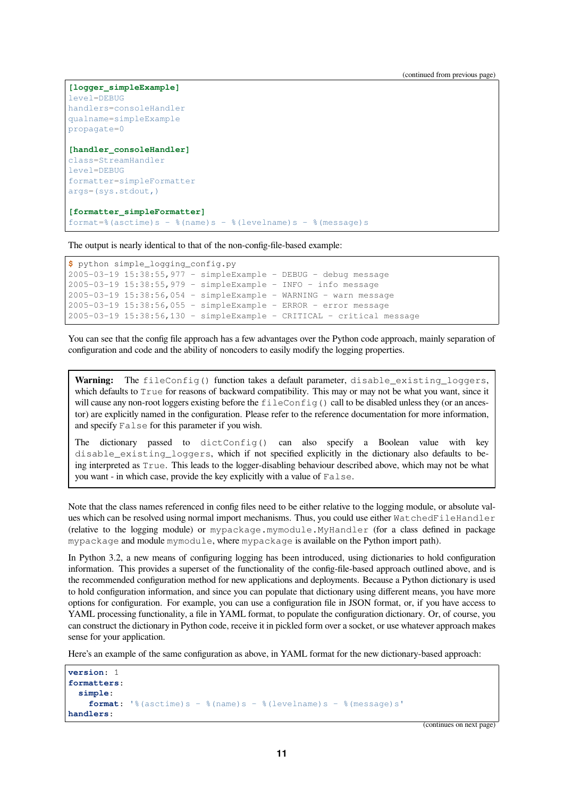(continued from previous page)

```
[logger_simpleExample]
level=DEBUG
handlers=consoleHandler
qualname=simpleExample
propagate=0
[handler_consoleHandler]
class=StreamHandler
level=DEBUG
formatter=simpleFormatter
args=(sys.stdout,)
[formatter_simpleFormatter]
format=%(asctime)s - %(name)s - %(levelname)s - %(message)s
```
The output is nearly identical to that of the non-config-file-based example:

```
$ python simple_logging_config.py
2005-03-19 15:38:55,977 - simpleExample - DEBUG - debug message
2005-03-19 15:38:55,979 - simpleExample - INFO - info message
2005-03-19 15:38:56,054 - simpleExample - WARNING - warn message
2005-03-19 15:38:56,055 - simpleExample - ERROR - error message
2005-03-19 15:38:56,130 - simpleExample - CRITICAL - critical message
```
You can see that the config file approach has a few advantages over the Python code approach, mainly separation of configuration and code and the ability of noncoders to easily modify the logging properties.

**Warning:** The fileConfig() function takes a default parameter, disable existing loggers, which defaults to  $True$  for reasons of backward compatibility. This may or may not be what you want, since it will cause any non-root loggers existing before the fileConfig() call to be disabled unless they (or an ancestor) are explicitly named in the configuration. Please refer to the reference documentation for more information, and specify False for this parameter if you wish.

The dictionary passed to dictConfig() can also specify a Boolean value with key disable\_existing\_loggers, which if not specified explicitly in the dictionary also defaults to being interpreted as True. This leads to the logger-disabling behaviour described above, which may not be what you want - in which case, provide the key explicitly with a value of False.

Note that the class names referenced in config files need to be either relative to the logging module, or absolute values which can be resolved using normal import mechanisms. Thus, you could use either WatchedFileHandler (relative to the logging module) or mypackage.mymodule.MyHandler (for a class defined in package mypackage and module mymodule, where mypackage is available on the Python import path).

In Python 3.2, a new means of configuring logging has been introduced, using dictionaries to hold configuration information. This provides a superset of the functionality of the config-file-based approach outlined above, and is the recommended configuration method for new applications and deployments. Because a Python dictionary is used to hold configuration information, and since you can populate that dictionary using different means, you have more options for configuration. For example, you can use a configuration file in JSON format, or, if you have access to YAML processing functionality, a file in YAML format, to populate the configuration dictionary. Or, of course, you can construct the dictionary in Python code, receive it in pickled form over a socket, or use whatever approach makes sense for your application.

Here's an example of the same configuration as above, in YAML format for the new dictionary-based approach:

```
version: 1
formatters:
  simple:
    format: '%(asctime)s - %(name)s - %(levelname)s - %(message)s'
handlers:
```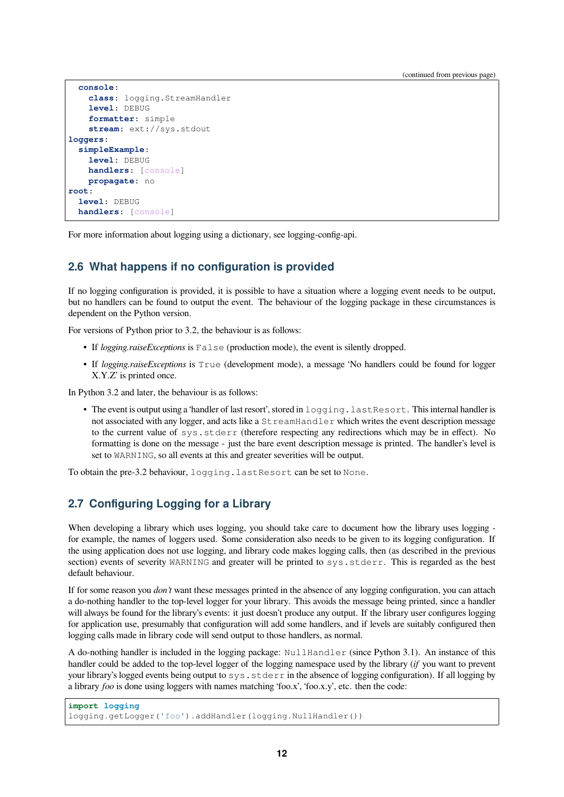(continued from previous page)

```
console:
    class: logging.StreamHandler
    level: DEBUG
    formatter: simple
    stream: ext://sys.stdout
loggers:
 simpleExample:
    level: DEBUG
    handlers: [console]
    propagate: no
root:
  level: DEBUG
 handlers: [console]
```
For more information about logging using a dictionary, see logging-config-api.

#### <span id="page-11-0"></span>**2.6 What happens if no configuration is provided**

If no logging configuration is provided, it is possible to have a situation where a logging event needs to be output, but no handlers can be found to output the event. The behaviour of the logging package in these circumstances is dependent on the Python version.

For versions of Python prior to 3.2, the behaviour is as follows:

- If *logging.raiseExceptions* is False (production mode), the event is silently dropped.
- If *logging.raiseExceptions* is True (development mode), a message 'No handlers could be found for logger X.Y.Z' is printed once.

In Python 3.2 and later, the behaviour is as follows:

• The event is output using a 'handler of last resort', stored in  $logqing$ . lastResort. This internal handler is not associated with any logger, and acts like a StreamHandler which writes the event description message to the current value of sys.stderr (therefore respecting any redirections which may be in effect). No formatting is done on the message - just the bare event description message is printed. The handler's level is set to WARNING, so all events at this and greater severities will be output.

To obtain the pre-3.2 behaviour, logging.lastResort can be set to None.

#### <span id="page-11-1"></span>**2.7 Configuring Logging for a Library**

When developing a library which uses logging, you should take care to document how the library uses logging for example, the names of loggers used. Some consideration also needs to be given to its logging configuration. If the using application does not use logging, and library code makes logging calls, then (as described in the previous section) events of severity WARNING and greater will be printed to sys.stderr. This is regarded as the best default behaviour.

If for some reason you *don't* want these messages printed in the absence of any logging configuration, you can attach a do-nothing handler to the top-level logger for your library. This avoids the message being printed, since a handler will always be found for the library's events: it just doesn't produce any output. If the library user configures logging for application use, presumably that configuration will add some handlers, and if levels are suitably configured then logging calls made in library code will send output to those handlers, as normal.

A do-nothing handler is included in the logging package: NullHandler (since Python 3.1). An instance of this handler could be added to the top-level logger of the logging namespace used by the library (*if* you want to prevent your library's logged events being output to sys.stderr in the absence of logging configuration). If all logging by a library *foo* is done using loggers with names matching 'foo.x', 'foo.x.y', etc. then the code:

```
import logging
logging.getLogger('foo').addHandler(logging.NullHandler())
```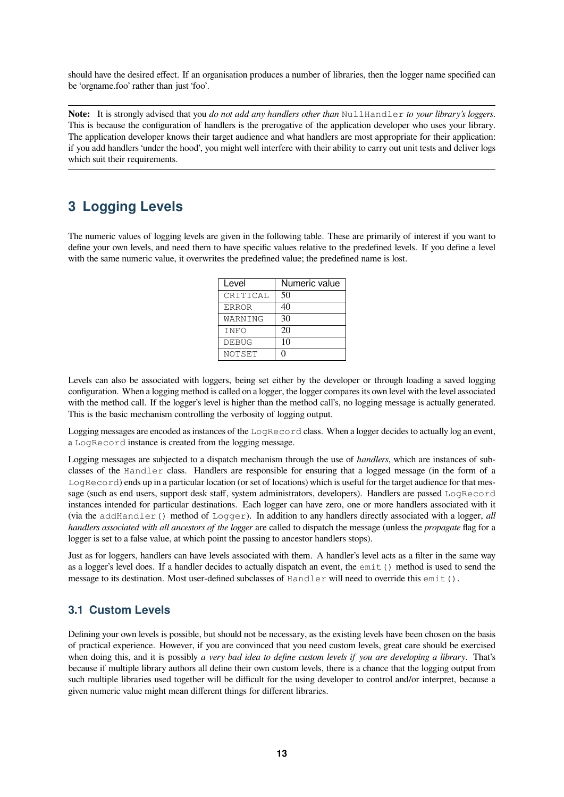should have the desired effect. If an organisation produces a number of libraries, then the logger name specified can be 'orgname.foo' rather than just 'foo'.

**Note:** It is strongly advised that you *do not add any handlers other than* NullHandler *to your library's loggers*. This is because the configuration of handlers is the prerogative of the application developer who uses your library. The application developer knows their target audience and what handlers are most appropriate for their application: if you add handlers 'under the hood', you might well interfere with their ability to carry out unit tests and deliver logs which suit their requirements.

### <span id="page-12-0"></span>**3 Logging Levels**

The numeric values of logging levels are given in the following table. These are primarily of interest if you want to define your own levels, and need them to have specific values relative to the predefined levels. If you define a level with the same numeric value, it overwrites the predefined value; the predefined name is lost.

| Level        | Numeric value |
|--------------|---------------|
| CRITICAL     | 50            |
| <b>ERROR</b> | 40            |
| WARNING      | 30            |
| INFO         | 20            |
| <b>DEBUG</b> | 10            |
| NOTSET       | וו            |

Levels can also be associated with loggers, being set either by the developer or through loading a saved logging configuration. When a logging method is called on a logger, the logger compares its own level with the level associated with the method call. If the logger's level is higher than the method call's, no logging message is actually generated. This is the basic mechanism controlling the verbosity of logging output.

Logging messages are encoded as instances of the LogRecord class. When a logger decides to actually log an event, a LogRecord instance is created from the logging message.

Logging messages are subjected to a dispatch mechanism through the use of *handlers*, which are instances of subclasses of the Handler class. Handlers are responsible for ensuring that a logged message (in the form of a LogRecord) ends up in a particular location (or set of locations) which is useful for the target audience for that message (such as end users, support desk staff, system administrators, developers). Handlers are passed LogRecord instances intended for particular destinations. Each logger can have zero, one or more handlers associated with it (via the addHandler() method of Logger). In addition to any handlers directly associated with a logger,  $\alpha ll$ *handlers associated with all ancestors of the logger* are called to dispatch the message (unless the *propagate* flag for a logger is set to a false value, at which point the passing to ancestor handlers stops).

Just as for loggers, handlers can have levels associated with them. A handler's level acts as a filter in the same way as a logger's level does. If a handler decides to actually dispatch an event, the emit() method is used to send the message to its destination. Most user-defined subclasses of Handler will need to override this emit().

#### <span id="page-12-1"></span>**3.1 Custom Levels**

Defining your own levels is possible, but should not be necessary, as the existing levels have been chosen on the basis of practical experience. However, if you are convinced that you need custom levels, great care should be exercised when doing this, and it is possibly *a very bad idea to define custom levels if you are developing a library*. That's because if multiple library authors all define their own custom levels, there is a chance that the logging output from such multiple libraries used together will be difficult for the using developer to control and/or interpret, because a given numeric value might mean different things for different libraries.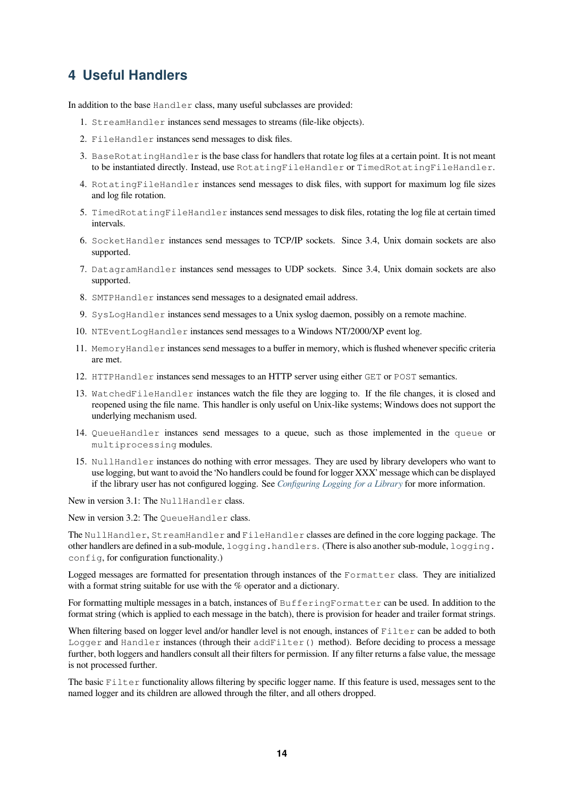## **4 Useful Handlers**

In addition to the base Handler class, many useful subclasses are provided:

- <span id="page-13-0"></span>1. StreamHandler instances send messages to streams (file-like objects).
- 2. FileHandler instances send messages to disk files.
- 3. BaseRotatingHandler is the base class for handlers that rotate log files at a certain point. It is not meant to be instantiated directly. Instead, use RotatingFileHandler or TimedRotatingFileHandler.
- 4. RotatingFileHandler instances send messages to disk files, with support for maximum log file sizes and log file rotation.
- 5. TimedRotatingFileHandler instances send messages to disk files, rotating the log file at certain timed intervals.
- 6. SocketHandler instances send messages to TCP/IP sockets. Since 3.4, Unix domain sockets are also supported.
- 7. DatagramHandler instances send messages to UDP sockets. Since 3.4, Unix domain sockets are also supported.
- 8. SMTPHandler instances send messages to a designated email address.
- 9. SysLogHandler instances send messages to a Unix syslog daemon, possibly on a remote machine.
- 10. NTEventLogHandler instances send messages to a Windows NT/2000/XP event log.
- 11. MemoryHandler instances send messages to a buffer in memory, which is flushed whenever specific criteria are met.
- 12. HTTPHandler instances send messages to an HTTP server using either GET or POST semantics.
- 13. WatchedFileHandler instances watch the file they are logging to. If the file changes, it is closed and reopened using the file name. This handler is only useful on Unix-like systems; Windows does not support the underlying mechanism used.
- 14. QueueHandler instances send messages to a queue, such as those implemented in the queue or multiprocessing modules.
- 15. NullHandler instances do nothing with error messages. They are used by library developers who want to use logging, but want to avoid the 'No handlers could be found for logger XXX' message which can be displayed if the library user has not configured logging. See *Configuring Logging for a Library* for more information.

New in version 3.1: The NullHandler class.

New in version 3.2: The QueueHandler class.

The NullHandler, StreamHandler and FileHandler [classes are defined in the c](#page-11-1)ore logging package. The other handlers are defined in a sub-module, logging.handlers. (There is also another sub-module, logging. config, for configuration functionality.)

Logged messages are formatted for presentation through instances of the Formatter class. They are initialized with a format string suitable for use with the % operator and a dictionary.

For formatting multiple messages in a batch, instances of BufferingFormatter can be used. In addition to the format string (which is applied to each message in the batch), there is provision for header and trailer format strings.

When filtering based on logger level and/or handler level is not enough, instances of Filter can be added to both Logger and Handler instances (through their addFilter() method). Before deciding to process a message further, both loggers and handlers consult all their filters for permission. If any filter returns a false value, the message is not processed further.

The basic Filter functionality allows filtering by specific logger name. If this feature is used, messages sent to the named logger and its children are allowed through the filter, and all others dropped.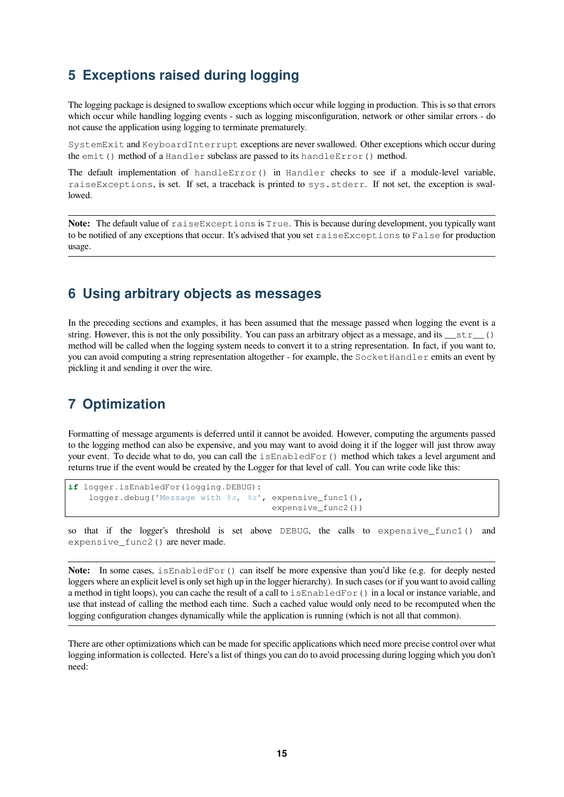### <span id="page-14-0"></span>**5 Exceptions raised during logging**

The logging package is designed to swallow exceptions which occur while logging in production. This is so that errors which occur while handling logging events - such as logging misconfiguration, network or other similar errors - do not cause the application using logging to terminate prematurely.

SystemExit and KeyboardInterrupt exceptions are never swallowed. Other exceptions which occur during the emit() method of a Handler subclass are passed to its handleError() method.

The default implementation of handleError() in Handler checks to see if a module-level variable, raiseExceptions, is set. If set, a traceback is printed to sys.stderr. If not set, the exception is swallowed.

**Note:** The default value of raiseExceptions is True. This is because during development, you typically want to be notified of any exceptions that occur. It's advised that you set raiseExceptions to False for production usage.

### <span id="page-14-1"></span>**6 Using arbitrary objects as messages**

In the preceding sections and examples, it has been assumed that the message passed when logging the event is a string. However, this is not the only possibility. You can pass an arbitrary object as a message, and its  $\pm \tau$  () method will be called when the logging system needs to convert it to a string representation. In fact, if you want to, you can avoid computing a string representation altogether - for example, the SocketHandler emits an event by pickling it and sending it over the wire.

### **7 Optimization**

Formatting of message arguments is deferred until it cannot be avoided. However, computing the arguments passed to the logging method can also be expensive, and you may want to avoid doing it if the logger will just throw away your event. To decide what to do, you can call the isEnabledFor() method which takes a level argument and returns true if the event would be created by the Logger for that level of call. You can write code like this:

```
if logger.isEnabledFor(logging.DEBUG):
    logger.debug('Message with %s, %s', expensive_func1(),
                                        expensive func2())
```
so that if the logger's threshold is set above DEBUG, the calls to expensive\_func1() and expensive\_func2() are never made.

**Note:** In some cases, is EnabledFor() can itself be more expensive than you'd like (e.g. for deeply nested loggers where an explicit level is only set high up in the logger hierarchy). In such cases (or if you want to avoid calling a method in tight loops), you can cache the result of a call to  $i$  sEnabledFor() in a local or instance variable, and use that instead of calling the method each time. Such a cached value would only need to be recomputed when the logging configuration changes dynamically while the application is running (which is not all that common).

There are other optimizations which can be made for specific applications which need more precise control over what logging information is collected. Here's a list of things you can do to avoid processing during logging which you don't need: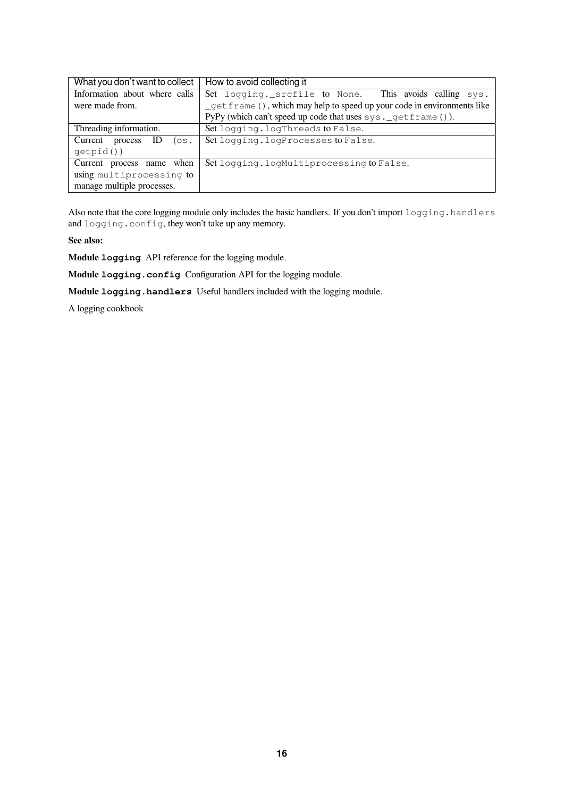| What you don't want to collect | How to avoid collecting it                                              |  |
|--------------------------------|-------------------------------------------------------------------------|--|
| Information about where calls  | Set logging. srcfile to None. This avoids calling sys.                  |  |
| were made from.                | _getframe (), which may help to speed up your code in environments like |  |
|                                | PyPy (which can't speed up code that uses sys. _get frame ()).          |  |
| Threading information.         | Set logging. logThreads to False.                                       |  |
| Current<br>process<br>$($ os.  | Set logging. logProcesses to False.                                     |  |
| qetpid()                       |                                                                         |  |
| Current process name when      | Set logging. logMultiprocessing to False.                               |  |
| using multiprocessing to       |                                                                         |  |
| manage multiple processes.     |                                                                         |  |

Also note that the core logging module only includes the basic handlers. If you don't import logging.handlers and logging.config, they won't take up any memory.

**See also:**

**Module logging** API reference for the logging module.

**Module logging.config** Configuration API for the logging module.

**Module logging.handlers** Useful handlers included with the logging module.

A logging cookbook